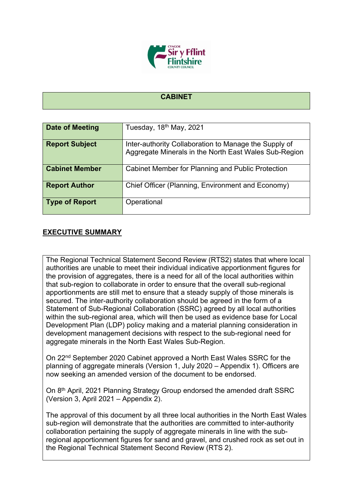

## **CABINET**

| <b>Date of Meeting</b> | Tuesday, 18 <sup>th</sup> May, 2021                                                                            |
|------------------------|----------------------------------------------------------------------------------------------------------------|
| <b>Report Subject</b>  | Inter-authority Collaboration to Manage the Supply of<br>Aggregate Minerals in the North East Wales Sub-Region |
| <b>Cabinet Member</b>  | Cabinet Member for Planning and Public Protection                                                              |
| <b>Report Author</b>   | Chief Officer (Planning, Environment and Economy)                                                              |
| <b>Type of Report</b>  | Operational                                                                                                    |

## **EXECUTIVE SUMMARY**

The Regional Technical Statement Second Review (RTS2) states that where local authorities are unable to meet their individual indicative apportionment figures for the provision of aggregates, there is a need for all of the local authorities within that sub-region to collaborate in order to ensure that the overall sub-regional apportionments are still met to ensure that a steady supply of those minerals is secured. The inter-authority collaboration should be agreed in the form of a Statement of Sub-Regional Collaboration (SSRC) agreed by all local authorities within the sub-regional area, which will then be used as evidence base for Local Development Plan (LDP) policy making and a material planning consideration in development management decisions with respect to the sub-regional need for aggregate minerals in the North East Wales Sub-Region.

On 22nd September 2020 Cabinet approved a North East Wales SSRC for the planning of aggregate minerals (Version 1, July 2020 – Appendix 1). Officers are now seeking an amended version of the document to be endorsed.

On 8<sup>th</sup> April, 2021 Planning Strategy Group endorsed the amended draft SSRC (Version 3, April 2021 – Appendix 2).

The approval of this document by all three local authorities in the North East Wales sub-region will demonstrate that the authorities are committed to inter-authority collaboration pertaining the supply of aggregate minerals in line with the subregional apportionment figures for sand and gravel, and crushed rock as set out in the Regional Technical Statement Second Review (RTS 2).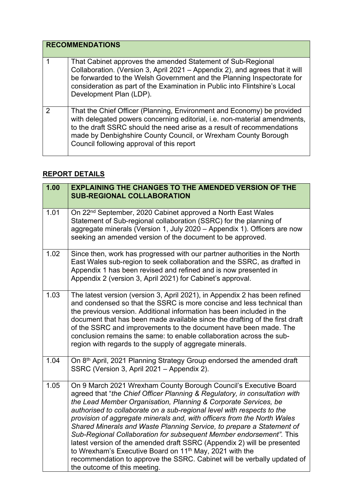| <b>RECOMMENDATIONS</b> |                                                                                                                                                                                                                                                                                                                                              |
|------------------------|----------------------------------------------------------------------------------------------------------------------------------------------------------------------------------------------------------------------------------------------------------------------------------------------------------------------------------------------|
|                        | That Cabinet approves the amended Statement of Sub-Regional<br>Collaboration. (Version 3, April 2021 – Appendix 2), and agrees that it will<br>be forwarded to the Welsh Government and the Planning Inspectorate for<br>consideration as part of the Examination in Public into Flintshire's Local<br>Development Plan (LDP).               |
| 2                      | That the Chief Officer (Planning, Environment and Economy) be provided<br>with delegated powers concerning editorial, i.e. non-material amendments,<br>to the draft SSRC should the need arise as a result of recommendations<br>made by Denbighshire County Council, or Wrexham County Borough<br>Council following approval of this report |

## **REPORT DETAILS**

| 1.00 | <b>EXPLAINING THE CHANGES TO THE AMENDED VERSION OF THE</b><br><b>SUB-REGIONAL COLLABORATION</b>                                                                                                                                                                                                                                                                                                                                                                                                                                                                                                                                                                                                                                                                                    |
|------|-------------------------------------------------------------------------------------------------------------------------------------------------------------------------------------------------------------------------------------------------------------------------------------------------------------------------------------------------------------------------------------------------------------------------------------------------------------------------------------------------------------------------------------------------------------------------------------------------------------------------------------------------------------------------------------------------------------------------------------------------------------------------------------|
| 1.01 | On 22 <sup>nd</sup> September, 2020 Cabinet approved a North East Wales<br>Statement of Sub-regional collaboration (SSRC) for the planning of<br>aggregate minerals (Version 1, July 2020 - Appendix 1). Officers are now<br>seeking an amended version of the document to be approved.                                                                                                                                                                                                                                                                                                                                                                                                                                                                                             |
| 1.02 | Since then, work has progressed with our partner authorities in the North<br>East Wales sub-region to seek collaboration and the SSRC, as drafted in<br>Appendix 1 has been revised and refined and is now presented in<br>Appendix 2 (version 3, April 2021) for Cabinet's approval.                                                                                                                                                                                                                                                                                                                                                                                                                                                                                               |
| 1.03 | The latest version (version 3, April 2021), in Appendix 2 has been refined<br>and condensed so that the SSRC is more concise and less technical than<br>the previous version. Additional information has been included in the<br>document that has been made available since the drafting of the first draft<br>of the SSRC and improvements to the document have been made. The<br>conclusion remains the same: to enable collaboration across the sub-<br>region with regards to the supply of aggregate minerals.                                                                                                                                                                                                                                                                |
| 1.04 | On 8th April, 2021 Planning Strategy Group endorsed the amended draft<br>SSRC (Version 3, April 2021 - Appendix 2).                                                                                                                                                                                                                                                                                                                                                                                                                                                                                                                                                                                                                                                                 |
| 1.05 | On 9 March 2021 Wrexham County Borough Council's Executive Board<br>agreed that "the Chief Officer Planning & Regulatory, in consultation with<br>the Lead Member Organisation, Planning & Corporate Services, be<br>authorised to collaborate on a sub-regional level with respects to the<br>provision of aggregate minerals and, with officers from the North Wales<br>Shared Minerals and Waste Planning Service, to prepare a Statement of<br>Sub-Regional Collaboration for subsequent Member endorsement". This<br>latest version of the amended draft SSRC (Appendix 2) will be presented<br>to Wrexham's Executive Board on 11 <sup>th</sup> May, 2021 with the<br>recommendation to approve the SSRC. Cabinet will be verbally updated of<br>the outcome of this meeting. |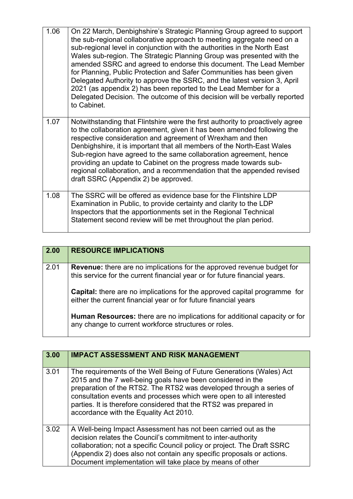| 1.06 | On 22 March, Denbighshire's Strategic Planning Group agreed to support<br>the sub-regional collaborative approach to meeting aggregate need on a<br>sub-regional level in conjunction with the authorities in the North East<br>Wales sub-region. The Strategic Planning Group was presented with the<br>amended SSRC and agreed to endorse this document. The Lead Member<br>for Planning, Public Protection and Safer Communities has been given<br>Delegated Authority to approve the SSRC, and the latest version 3, April<br>2021 (as appendix 2) has been reported to the Lead Member for a<br>Delegated Decision. The outcome of this decision will be verbally reported<br>to Cabinet. |
|------|------------------------------------------------------------------------------------------------------------------------------------------------------------------------------------------------------------------------------------------------------------------------------------------------------------------------------------------------------------------------------------------------------------------------------------------------------------------------------------------------------------------------------------------------------------------------------------------------------------------------------------------------------------------------------------------------|
| 1.07 | Notwithstanding that Flintshire were the first authority to proactively agree<br>to the collaboration agreement, given it has been amended following the<br>respective consideration and agreement of Wrexham and then<br>Denbighshire, it is important that all members of the North-East Wales<br>Sub-region have agreed to the same collaboration agreement, hence<br>providing an update to Cabinet on the progress made towards sub-<br>regional collaboration, and a recommendation that the appended revised<br>draft SSRC (Appendix 2) be approved.                                                                                                                                    |
| 1.08 | The SSRC will be offered as evidence base for the Flintshire LDP<br>Examination in Public, to provide certainty and clarity to the LDP<br>Inspectors that the apportionments set in the Regional Technical<br>Statement second review will be met throughout the plan period.                                                                                                                                                                                                                                                                                                                                                                                                                  |

| 2.00 | <b>RESOURCE IMPLICATIONS</b>                                                                                                                                |
|------|-------------------------------------------------------------------------------------------------------------------------------------------------------------|
| 2.01 | <b>Revenue:</b> there are no implications for the approved revenue budget for<br>this service for the current financial year or for future financial years. |
|      | <b>Capital:</b> there are no implications for the approved capital programme for<br>either the current financial year or for future financial years         |
|      | <b>Human Resources:</b> there are no implications for additional capacity or for<br>any change to current workforce structures or roles.                    |

| 3.00 | <b>IMPACT ASSESSMENT AND RISK MANAGEMENT</b>                                                                                                                                                                                                                                                                                                                                                     |
|------|--------------------------------------------------------------------------------------------------------------------------------------------------------------------------------------------------------------------------------------------------------------------------------------------------------------------------------------------------------------------------------------------------|
| 3.01 | The requirements of the Well Being of Future Generations (Wales) Act<br>2015 and the 7 well-being goals have been considered in the<br>preparation of the RTS2. The RTS2 was developed through a series of<br>consultation events and processes which were open to all interested<br>parties. It is therefore considered that the RTS2 was prepared in<br>accordance with the Equality Act 2010. |
| 3.02 | A Well-being Impact Assessment has not been carried out as the<br>decision relates the Council's commitment to inter-authority<br>collaboration; not a specific Council policy or project. The Draft SSRC<br>(Appendix 2) does also not contain any specific proposals or actions.<br>Document implementation will take place by means of other                                                  |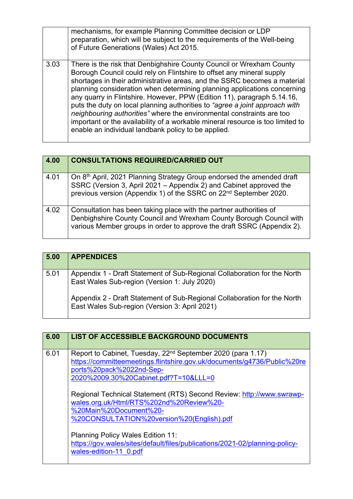|      | mechanisms, for example Planning Committee decision or LDP<br>preparation, which will be subject to the requirements of the Well-being<br>of Future Generations (Wales) Act 2015.                                                                                                                                                                                                                                                                                                                                                                                                                                                                                                 |
|------|-----------------------------------------------------------------------------------------------------------------------------------------------------------------------------------------------------------------------------------------------------------------------------------------------------------------------------------------------------------------------------------------------------------------------------------------------------------------------------------------------------------------------------------------------------------------------------------------------------------------------------------------------------------------------------------|
| 3.03 | There is the risk that Denbighshire County Council or Wrexham County<br>Borough Council could rely on Flintshire to offset any mineral supply<br>shortages in their administrative areas, and the SSRC becomes a material<br>planning consideration when determining planning applications concerning<br>any quarry in Flintshire. However, PPW (Edition 11), paragraph 5.14.16,<br>puts the duty on local planning authorities to "agree a joint approach with<br>neighbouring authorities" where the environmental constraints are too<br>important or the availability of a workable mineral resource is too limited to<br>enable an individual landbank policy to be applied. |

| 4.00 | <b>CONSULTATIONS REQUIRED/CARRIED OUT</b>                                                                                                                                                                                    |
|------|------------------------------------------------------------------------------------------------------------------------------------------------------------------------------------------------------------------------------|
| 4.01 | On 8th April, 2021 Planning Strategy Group endorsed the amended draft<br>SSRC (Version 3, April 2021 – Appendix 2) and Cabinet approved the<br>previous version (Appendix 1) of the SSRC on 22 <sup>nd</sup> September 2020. |
| 4.02 | Consultation has been taking place with the partner authorities of<br>Denbighshire County Council and Wrexham County Borough Council with<br>various Member groups in order to approve the draft SSRC (Appendix 2).          |

| 5.00 | <b>APPENDICES</b>                                                                                                         |
|------|---------------------------------------------------------------------------------------------------------------------------|
| 5.01 | Appendix 1 - Draft Statement of Sub-Regional Collaboration for the North<br>East Wales Sub-region (Version 1: July 2020)  |
|      | Appendix 2 - Draft Statement of Sub-Regional Collaboration for the North<br>East Wales Sub-region (Version 3: April 2021) |

| 6.00 | <b>LIST OF ACCESSIBLE BACKGROUND DOCUMENTS</b>                                                                                                                                                                                                                                                  |
|------|-------------------------------------------------------------------------------------------------------------------------------------------------------------------------------------------------------------------------------------------------------------------------------------------------|
| 6.01 | Report to Cabinet, Tuesday, 22 <sup>nd</sup> September 2020 (para 1.17)<br>https://committeemeetings.flintshire.gov.uk/documents/g4736/Public%20re<br>ports%20pack%2022nd-Sep-<br>2020%2009.30%20Cabinet.pdf?T=10&LLL=0<br>Regional Technical Statement (RTS) Second Review: http://www.swrawp- |
|      | wales.org.uk/Html/RTS%202nd%20Review%20-<br>%20Main%20Document%20-<br>%20CONSULTATION%20version%20(English).pdf                                                                                                                                                                                 |
|      | <b>Planning Policy Wales Edition 11:</b><br>https://gov.wales/sites/default/files/publications/2021-02/planning-policy-<br>wales-edition-11 0.pdf                                                                                                                                               |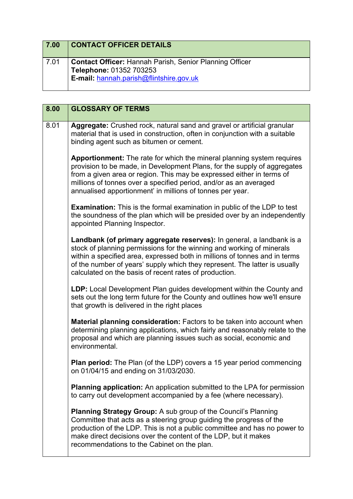| 7.00 | <b>CONTACT OFFICER DETAILS</b>                                                                                                       |
|------|--------------------------------------------------------------------------------------------------------------------------------------|
| 7.01 | <b>Contact Officer: Hannah Parish, Senior Planning Officer</b><br>Telephone: 01352 703253<br>E-mail: hannah.parish@flintshire.gov.uk |

| 8.00 | <b>GLOSSARY OF TERMS</b>                                                                                                                                                                                                                                                                                                                                             |
|------|----------------------------------------------------------------------------------------------------------------------------------------------------------------------------------------------------------------------------------------------------------------------------------------------------------------------------------------------------------------------|
| 8.01 | Aggregate: Crushed rock, natural sand and gravel or artificial granular<br>material that is used in construction, often in conjunction with a suitable<br>binding agent such as bitumen or cement.                                                                                                                                                                   |
|      | <b>Apportionment:</b> The rate for which the mineral planning system requires<br>provision to be made, in Development Plans, for the supply of aggregates<br>from a given area or region. This may be expressed either in terms of<br>millions of tonnes over a specified period, and/or as an averaged<br>annualised apportionment' in millions of tonnes per year. |
|      | <b>Examination:</b> This is the formal examination in public of the LDP to test<br>the soundness of the plan which will be presided over by an independently<br>appointed Planning Inspector.                                                                                                                                                                        |
|      | Landbank (of primary aggregate reserves): In general, a landbank is a<br>stock of planning permissions for the winning and working of minerals<br>within a specified area, expressed both in millions of tonnes and in terms<br>of the number of years' supply which they represent. The latter is usually<br>calculated on the basis of recent rates of production. |
|      | LDP: Local Development Plan guides development within the County and<br>sets out the long term future for the County and outlines how we'll ensure<br>that growth is delivered in the right places                                                                                                                                                                   |
|      | Material planning consideration: Factors to be taken into account when<br>determining planning applications, which fairly and reasonably relate to the<br>proposal and which are planning issues such as social, economic and<br>environmental.                                                                                                                      |
|      | Plan period: The Plan (of the LDP) covers a 15 year period commencing<br>on 01/04/15 and ending on 31/03/2030.                                                                                                                                                                                                                                                       |
|      | <b>Planning application:</b> An application submitted to the LPA for permission<br>to carry out development accompanied by a fee (where necessary).                                                                                                                                                                                                                  |
|      | Planning Strategy Group: A sub group of the Council's Planning<br>Committee that acts as a steering group guiding the progress of the<br>production of the LDP. This is not a public committee and has no power to<br>make direct decisions over the content of the LDP, but it makes<br>recommendations to the Cabinet on the plan.                                 |

 $\mathbf{I}$